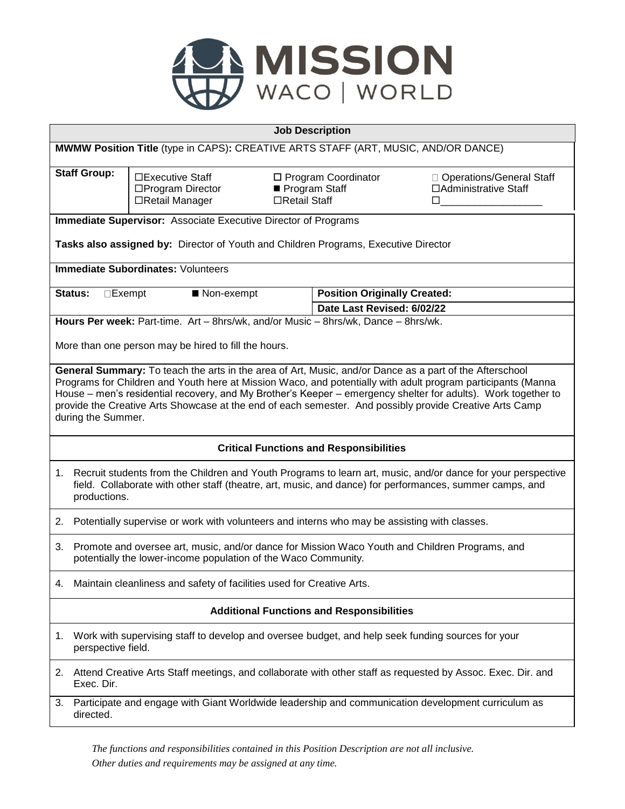

| <b>Job Description</b>                                                                                                                                                                                                                                                                                                                                         |                                                                                                                                                                                                                                             |                                                                   |                                                         |                                                           |  |  |
|----------------------------------------------------------------------------------------------------------------------------------------------------------------------------------------------------------------------------------------------------------------------------------------------------------------------------------------------------------------|---------------------------------------------------------------------------------------------------------------------------------------------------------------------------------------------------------------------------------------------|-------------------------------------------------------------------|---------------------------------------------------------|-----------------------------------------------------------|--|--|
| MWMW Position Title (type in CAPS): CREATIVE ARTS STAFF (ART, MUSIC, AND/OR DANCE)                                                                                                                                                                                                                                                                             |                                                                                                                                                                                                                                             |                                                                   |                                                         |                                                           |  |  |
|                                                                                                                                                                                                                                                                                                                                                                | <b>Staff Group:</b>                                                                                                                                                                                                                         | $\square$ Executive Staff<br>□Program Director<br>□Retail Manager | □ Program Coordinator<br>Program Staff<br>□Retail Staff | □ Operations/General Staff<br>□ Administrative Staff<br>□ |  |  |
| <b>Immediate Supervisor:</b> Associate Executive Director of Programs                                                                                                                                                                                                                                                                                          |                                                                                                                                                                                                                                             |                                                                   |                                                         |                                                           |  |  |
| Tasks also assigned by: Director of Youth and Children Programs, Executive Director                                                                                                                                                                                                                                                                            |                                                                                                                                                                                                                                             |                                                                   |                                                         |                                                           |  |  |
| <b>Immediate Subordinates: Volunteers</b>                                                                                                                                                                                                                                                                                                                      |                                                                                                                                                                                                                                             |                                                                   |                                                         |                                                           |  |  |
|                                                                                                                                                                                                                                                                                                                                                                | <b>Status:</b><br>$\Box$ Exempt                                                                                                                                                                                                             | ■ Non-exempt                                                      |                                                         | <b>Position Originally Created:</b>                       |  |  |
|                                                                                                                                                                                                                                                                                                                                                                |                                                                                                                                                                                                                                             |                                                                   |                                                         | Date Last Revised: 6/02/22                                |  |  |
| Hours Per week: Part-time. Art - 8hrs/wk, and/or Music - 8hrs/wk, Dance - 8hrs/wk.                                                                                                                                                                                                                                                                             |                                                                                                                                                                                                                                             |                                                                   |                                                         |                                                           |  |  |
| More than one person may be hired to fill the hours.                                                                                                                                                                                                                                                                                                           |                                                                                                                                                                                                                                             |                                                                   |                                                         |                                                           |  |  |
| Programs for Children and Youth here at Mission Waco, and potentially with adult program participants (Manna<br>House - men's residential recovery, and My Brother's Keeper - emergency shelter for adults). Work together to<br>provide the Creative Arts Showcase at the end of each semester. And possibly provide Creative Arts Camp<br>during the Summer. |                                                                                                                                                                                                                                             |                                                                   |                                                         |                                                           |  |  |
| <b>Critical Functions and Responsibilities</b>                                                                                                                                                                                                                                                                                                                 |                                                                                                                                                                                                                                             |                                                                   |                                                         |                                                           |  |  |
|                                                                                                                                                                                                                                                                                                                                                                | 1. Recruit students from the Children and Youth Programs to learn art, music, and/or dance for your perspective<br>field. Collaborate with other staff (theatre, art, music, and dance) for performances, summer camps, and<br>productions. |                                                                   |                                                         |                                                           |  |  |
| 2.                                                                                                                                                                                                                                                                                                                                                             | Potentially supervise or work with volunteers and interns who may be assisting with classes.                                                                                                                                                |                                                                   |                                                         |                                                           |  |  |
| 3.                                                                                                                                                                                                                                                                                                                                                             | Promote and oversee art, music, and/or dance for Mission Waco Youth and Children Programs, and<br>potentially the lower-income population of the Waco Community.                                                                            |                                                                   |                                                         |                                                           |  |  |
|                                                                                                                                                                                                                                                                                                                                                                | Maintain cleanliness and safety of facilities used for Creative Arts.                                                                                                                                                                       |                                                                   |                                                         |                                                           |  |  |
| <b>Additional Functions and Responsibilities</b>                                                                                                                                                                                                                                                                                                               |                                                                                                                                                                                                                                             |                                                                   |                                                         |                                                           |  |  |
| 1.                                                                                                                                                                                                                                                                                                                                                             | Work with supervising staff to develop and oversee budget, and help seek funding sources for your<br>perspective field.                                                                                                                     |                                                                   |                                                         |                                                           |  |  |
|                                                                                                                                                                                                                                                                                                                                                                | 2. Attend Creative Arts Staff meetings, and collaborate with other staff as requested by Assoc. Exec. Dir. and<br>Exec. Dir.                                                                                                                |                                                                   |                                                         |                                                           |  |  |
| 3.                                                                                                                                                                                                                                                                                                                                                             | Participate and engage with Giant Worldwide leadership and communication development curriculum as<br>directed.                                                                                                                             |                                                                   |                                                         |                                                           |  |  |

*The functions and responsibilities contained in this Position Description are not all inclusive. Other duties and requirements may be assigned at any time.*